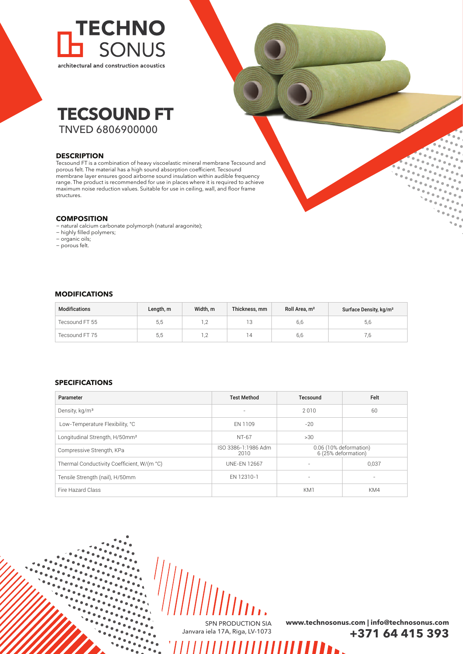



### **DESCRIPTION**

Tecsound FT is a combination of heavy viscoelastic mineral membrane Tecsound and porous felt. The material has a high sound absorption coefficient. Tecsound membrane layer ensures good airborne sound insulation within audible frequency range. The product is recommended for use in places where it is required to achieve maximum noise reduction values. Suitable for use in ceiling, wall, and floor frame structures.

## **COMPOSITION**

- − natural calcium carbonate polymorph (natural aragonite);
- − highly filled polymers;
- − organic oils;
- − porous felt.

# **MODIFICATIONS**

| Modifications  | Length, m | Width. m | Thickness, mm | Roll Area, m <sup>2</sup> | Surface Density, kg/m <sup>2</sup> |
|----------------|-----------|----------|---------------|---------------------------|------------------------------------|
| Tecsound FT 55 | 5,5       | .2       | 13            | 6,6                       | 5,6                                |
| Tecsound FT 75 | 5,5       | .2       |               | 6,6                       |                                    |

# **SPECIFICATIONS**

| Parameter                                  | <b>Test Method</b>          | Tecsound                 | Felt                                          |
|--------------------------------------------|-----------------------------|--------------------------|-----------------------------------------------|
| Density, kg/m <sup>3</sup>                 | $\overline{\phantom{a}}$    | 2010                     | 60                                            |
| Low-Temperature Flexibility, °C            | FN 1109                     | $-20$                    |                                               |
| Longitudinal Strength, H/50mm <sup>2</sup> | NT-67                       | >30                      |                                               |
| Compressive Strength, KPa                  | ISO 3386-1:1986 Adm<br>2010 |                          | 0.06 (10% deformation)<br>6 (25% deformation) |
| Thermal Conductivity Coefficient, W/(m °C) | <b>UNF-FN 12667</b>         |                          | 0.037                                         |
| Tensile Strength (nail), H/50mm            | EN 12310-1                  | $\overline{\phantom{0}}$ | $\overline{\phantom{a}}$                      |
| Fire Hazard Class                          |                             | KM1                      | KM4                                           |

SPN PRODUCTION SIA Janvara iela 17A, Riga, LV-1073

,,,,,,,,,,,,,,,,,,,,,

**www.technosonus.com | info@technosonus.com +371 64 415 393**

II в.